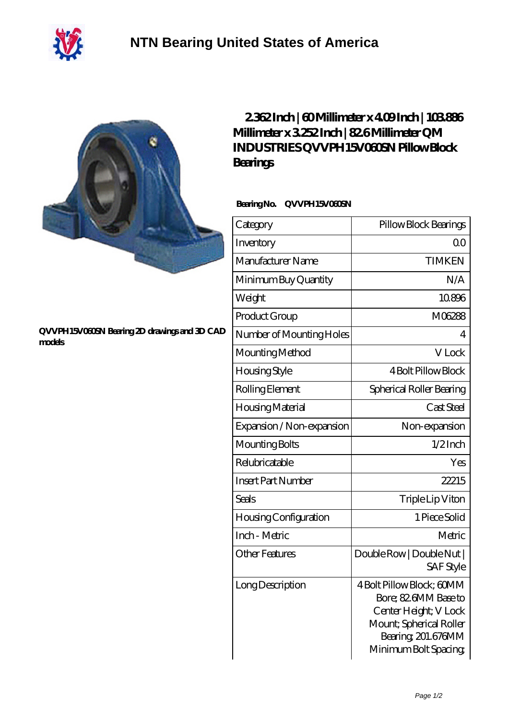



## **[QVVPH15V060SN Bearing 2D drawings and 3D CAD](https://m.40ozbounce-tube.net/pic-266555.html) [models](https://m.40ozbounce-tube.net/pic-266555.html)**

## **[2.362 Inch | 60 Millimeter x 4.09 Inch | 103.886](https://m.40ozbounce-tube.net/at-266555-qm-industries-qvvph15v060sn-pillow-block-bearings.html) [Millimeter x 3.252 Inch | 82.6 Millimeter QM](https://m.40ozbounce-tube.net/at-266555-qm-industries-qvvph15v060sn-pillow-block-bearings.html) [INDUSTRIES QVVPH15V060SN Pillow Block](https://m.40ozbounce-tube.net/at-266555-qm-industries-qvvph15v060sn-pillow-block-bearings.html) [Bearings](https://m.40ozbounce-tube.net/at-266555-qm-industries-qvvph15v060sn-pillow-block-bearings.html)**

## **Bearing No. QVVPH15V060SN**

| Category                     | Pillow Block Bearings                                                                                                                                |
|------------------------------|------------------------------------------------------------------------------------------------------------------------------------------------------|
| Inventory                    | 0 <sup>0</sup>                                                                                                                                       |
| Manufacturer Name            | <b>TIMKEN</b>                                                                                                                                        |
| Minimum Buy Quantity         | N/A                                                                                                                                                  |
| Weight                       | 10896                                                                                                                                                |
| Product Group                | M06288                                                                                                                                               |
| Number of Mounting Holes     | $\overline{4}$                                                                                                                                       |
| Mounting Method              | V Lock                                                                                                                                               |
| <b>Housing Style</b>         | <b>4 Bolt Pillow Block</b>                                                                                                                           |
| Rolling Element              | Spherical Roller Bearing                                                                                                                             |
| Housing Material             | Cast Steel                                                                                                                                           |
| Expansion / Non-expansion    | Non-expansion                                                                                                                                        |
| Mounting Bolts               | $1/2$ Inch                                                                                                                                           |
| Relubricatable               | Yes                                                                                                                                                  |
| <b>Insert Part Number</b>    | 22215                                                                                                                                                |
| <b>Seals</b>                 | Triple Lip Viton                                                                                                                                     |
| <b>Housing Configuration</b> | 1 Piece Solid                                                                                                                                        |
| Inch - Metric                | Metric                                                                                                                                               |
| <b>Other Features</b>        | Double Row   Double Nut  <br><b>SAF Style</b>                                                                                                        |
| Long Description             | 4 Bolt Pillow Block; 60MM<br>Bore; 82 6MM Base to<br>Center Height; V Lock<br>Mount; Spherical Roller<br>Bearing, 201.676MM<br>Minimum Bolt Spacing; |